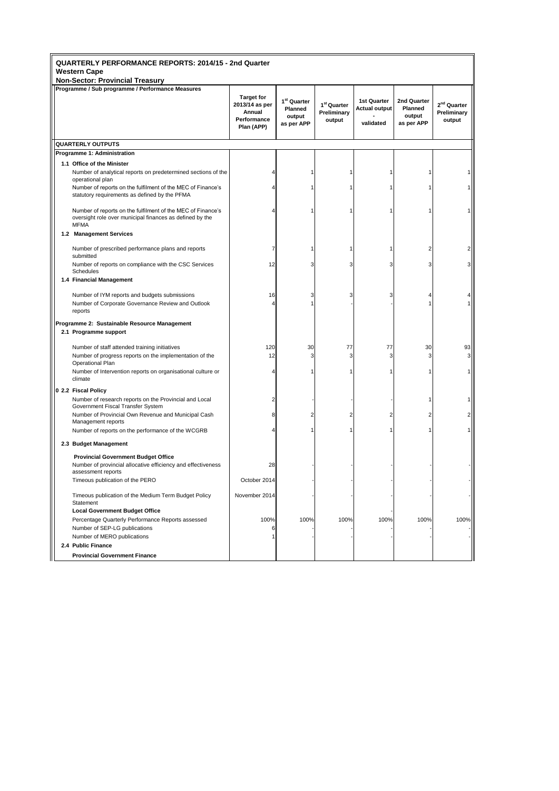| QUARTERLY PERFORMANCE REPORTS: 2014/15 - 2nd Quarter<br>Western Cape |                                                                                                                                        |  |                                                                            |                                                            |                                                  |                                                         |                                                       |                                                  |
|----------------------------------------------------------------------|----------------------------------------------------------------------------------------------------------------------------------------|--|----------------------------------------------------------------------------|------------------------------------------------------------|--------------------------------------------------|---------------------------------------------------------|-------------------------------------------------------|--------------------------------------------------|
|                                                                      | <b>Non-Sector: Provincial Treasury</b>                                                                                                 |  |                                                                            |                                                            |                                                  |                                                         |                                                       |                                                  |
|                                                                      | Programme / Sub programme / Performance Measures                                                                                       |  | <b>Target for</b><br>2013/14 as per<br>Annual<br>Performance<br>Plan (APP) | 1 <sup>st</sup> Quarter<br>Planned<br>output<br>as per APP | 1 <sup>st</sup> Quarter<br>Preliminary<br>output | <b>1st Quarter</b><br><b>Actual output</b><br>validated | 2nd Quarter<br><b>Planned</b><br>output<br>as per APP | 2 <sup>nd</sup> Quarter<br>Preliminary<br>output |
|                                                                      | <b>QUARTERLY OUTPUTS</b>                                                                                                               |  |                                                                            |                                                            |                                                  |                                                         |                                                       |                                                  |
|                                                                      | Programme 1: Administration                                                                                                            |  |                                                                            |                                                            |                                                  |                                                         |                                                       |                                                  |
|                                                                      | 1.1 Office of the Minister                                                                                                             |  |                                                                            |                                                            |                                                  |                                                         |                                                       |                                                  |
|                                                                      | Number of analytical reports on predetermined sections of the<br>operational plan                                                      |  |                                                                            |                                                            |                                                  | 1                                                       |                                                       |                                                  |
|                                                                      | Number of reports on the fulfilment of the MEC of Finance's<br>statutory requirements as defined by the PFMA                           |  |                                                                            |                                                            |                                                  | 1                                                       |                                                       |                                                  |
|                                                                      | Number of reports on the fulfilment of the MEC of Finance's<br>oversight role over municipal finances as defined by the<br><b>MFMA</b> |  |                                                                            |                                                            |                                                  | 1                                                       |                                                       |                                                  |
|                                                                      | 1.2 Management Services                                                                                                                |  |                                                                            |                                                            |                                                  |                                                         |                                                       |                                                  |
|                                                                      | Number of prescribed performance plans and reports                                                                                     |  | 7                                                                          |                                                            |                                                  | 1                                                       | 2                                                     |                                                  |
|                                                                      | submitted                                                                                                                              |  |                                                                            |                                                            |                                                  |                                                         |                                                       |                                                  |
|                                                                      | Number of reports on compliance with the CSC Services<br>Schedules                                                                     |  | 12                                                                         | З                                                          |                                                  | 3                                                       | 3                                                     | 3                                                |
|                                                                      | 1.4 Financial Management                                                                                                               |  |                                                                            |                                                            |                                                  |                                                         |                                                       |                                                  |
|                                                                      | Number of IYM reports and budgets submissions                                                                                          |  | 16                                                                         | 3                                                          |                                                  | 3                                                       |                                                       |                                                  |
|                                                                      | Number of Corporate Governance Review and Outlook<br>reports                                                                           |  | 4                                                                          |                                                            |                                                  |                                                         |                                                       |                                                  |
| Programme 2: Sustainable Resource Management                         |                                                                                                                                        |  |                                                                            |                                                            |                                                  |                                                         |                                                       |                                                  |
|                                                                      | 2.1 Programme support                                                                                                                  |  |                                                                            |                                                            |                                                  |                                                         |                                                       |                                                  |
|                                                                      | Number of staff attended training initiatives                                                                                          |  | 120                                                                        | 30                                                         | 77                                               | 77                                                      | 30                                                    | 93                                               |
|                                                                      | Number of progress reports on the implementation of the                                                                                |  | 12                                                                         | 3                                                          | 3                                                | 3                                                       | 3                                                     | 3 <sup>1</sup>                                   |
|                                                                      | Operational Plan                                                                                                                       |  |                                                                            |                                                            |                                                  |                                                         |                                                       |                                                  |
|                                                                      | Number of Intervention reports on organisational culture or<br>climate                                                                 |  |                                                                            |                                                            |                                                  | 1                                                       |                                                       |                                                  |
|                                                                      | 0 2.2 Fiscal Policy                                                                                                                    |  |                                                                            |                                                            |                                                  |                                                         |                                                       |                                                  |
|                                                                      | Number of research reports on the Provincial and Local<br>Government Fiscal Transfer System                                            |  | 2                                                                          |                                                            |                                                  |                                                         |                                                       |                                                  |
|                                                                      | Number of Provincial Own Revenue and Municipal Cash<br>Management reports                                                              |  | 8                                                                          | 2                                                          |                                                  | 2                                                       | 2                                                     | 2                                                |
|                                                                      | Number of reports on the performance of the WCGRB                                                                                      |  |                                                                            |                                                            |                                                  | $\mathbf{1}$                                            |                                                       |                                                  |
|                                                                      | 2.3 Budget Management                                                                                                                  |  |                                                                            |                                                            |                                                  |                                                         |                                                       |                                                  |
|                                                                      | <b>Provincial Government Budget Office</b><br>Number of provincial allocative efficiency and effectiveness<br>assessment reports       |  | 28                                                                         |                                                            |                                                  |                                                         |                                                       |                                                  |
|                                                                      | Timeous publication of the PERO                                                                                                        |  | October 2014                                                               |                                                            |                                                  |                                                         |                                                       |                                                  |
|                                                                      | Timeous publication of the Medium Term Budget Policy<br>Statement                                                                      |  | November 2014                                                              |                                                            |                                                  |                                                         |                                                       |                                                  |
|                                                                      | <b>Local Government Budget Office</b>                                                                                                  |  |                                                                            |                                                            |                                                  |                                                         |                                                       |                                                  |
|                                                                      | Percentage Quarterly Performance Reports assessed                                                                                      |  | 100%                                                                       | 100%                                                       | 100%                                             | 100%                                                    | 100%                                                  | 100%                                             |
|                                                                      | Number of SEP-LG publications                                                                                                          |  | 6                                                                          |                                                            |                                                  |                                                         |                                                       |                                                  |
|                                                                      | Number of MERO publications                                                                                                            |  |                                                                            |                                                            |                                                  |                                                         |                                                       |                                                  |
|                                                                      | 2.4 Public Finance                                                                                                                     |  |                                                                            |                                                            |                                                  |                                                         |                                                       |                                                  |
|                                                                      | <b>Provincial Government Finance</b>                                                                                                   |  |                                                                            |                                                            |                                                  |                                                         |                                                       |                                                  |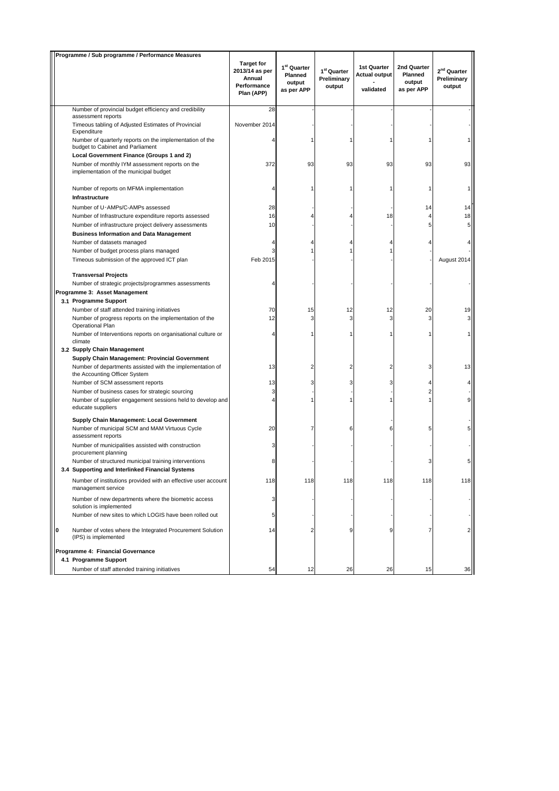| Programme / Sub programme / Performance Measures |     |                                                                                                                                             |                                                                            |                                                            |                                                  |                                                         |                                                |                                           |
|--------------------------------------------------|-----|---------------------------------------------------------------------------------------------------------------------------------------------|----------------------------------------------------------------------------|------------------------------------------------------------|--------------------------------------------------|---------------------------------------------------------|------------------------------------------------|-------------------------------------------|
|                                                  |     |                                                                                                                                             | <b>Target for</b><br>2013/14 as per<br>Annual<br>Performance<br>Plan (APP) | 1 <sup>st</sup> Quarter<br>Planned<br>output<br>as per APP | 1 <sup>st</sup> Quarter<br>Preliminary<br>output | <b>1st Quarter</b><br><b>Actual output</b><br>validated | 2nd Quarter<br>Planned<br>output<br>as per APP | $2^{nd}$ Quarter<br>Preliminary<br>output |
|                                                  |     | Number of provincial budget efficiency and credibility                                                                                      | 28                                                                         |                                                            |                                                  |                                                         |                                                |                                           |
|                                                  |     | assessment reports                                                                                                                          |                                                                            |                                                            |                                                  |                                                         |                                                |                                           |
|                                                  |     | Timeous tabling of Adjusted Estimates of Provincial<br>Expenditure                                                                          | November 2014                                                              |                                                            |                                                  |                                                         |                                                |                                           |
|                                                  |     | Number of quarterly reports on the implementation of the<br>budget to Cabinet and Parliament                                                |                                                                            |                                                            | 1                                                |                                                         |                                                |                                           |
|                                                  |     | Local Government Finance (Groups 1 and 2)                                                                                                   |                                                                            |                                                            |                                                  |                                                         |                                                |                                           |
|                                                  |     | Number of monthly IYM assessment reports on the<br>implementation of the municipal budget                                                   | 372                                                                        | 93                                                         | 93                                               | 93                                                      | 93                                             | 93                                        |
|                                                  |     | Number of reports on MFMA implementation                                                                                                    |                                                                            | 1                                                          |                                                  | 1                                                       |                                                | 1                                         |
|                                                  |     | Infrastructure                                                                                                                              |                                                                            |                                                            |                                                  |                                                         |                                                |                                           |
|                                                  |     | Number of U-AMPs/C-AMPs assessed                                                                                                            | 28                                                                         |                                                            |                                                  |                                                         | 14                                             | 14                                        |
|                                                  |     | Number of Infrastructure expenditure reports assessed                                                                                       | 16                                                                         |                                                            |                                                  | 18                                                      | 4                                              | 18                                        |
|                                                  |     | Number of infrastructure project delivery assessments                                                                                       | 10                                                                         |                                                            |                                                  |                                                         | 5                                              | 5                                         |
|                                                  |     | <b>Business Information and Data Management</b>                                                                                             |                                                                            |                                                            |                                                  |                                                         |                                                |                                           |
|                                                  |     | Number of datasets managed                                                                                                                  |                                                                            |                                                            |                                                  | 4                                                       |                                                |                                           |
|                                                  |     | Number of budget process plans managed<br>Timeous submission of the approved ICT plan                                                       | 3<br>Feb 2015                                                              |                                                            |                                                  |                                                         |                                                | August 2014                               |
|                                                  |     |                                                                                                                                             |                                                                            |                                                            |                                                  |                                                         |                                                |                                           |
|                                                  |     | <b>Transversal Projects</b>                                                                                                                 |                                                                            |                                                            |                                                  |                                                         |                                                |                                           |
|                                                  |     | Number of strategic projects/programmes assessments                                                                                         |                                                                            |                                                            |                                                  |                                                         |                                                |                                           |
|                                                  |     | Programme 3: Asset Management                                                                                                               |                                                                            |                                                            |                                                  |                                                         |                                                |                                           |
|                                                  |     | 3.1 Programme Support                                                                                                                       |                                                                            |                                                            |                                                  |                                                         |                                                |                                           |
|                                                  |     | Number of staff attended training initiatives                                                                                               | 70<br>12                                                                   | 15<br>3                                                    | 12                                               | 12<br>3                                                 | 20<br>3                                        | 19<br>3                                   |
|                                                  |     | Number of progress reports on the implementation of the<br>Operational Plan<br>Number of Interventions reports on organisational culture or |                                                                            |                                                            | 3                                                |                                                         |                                                | 1                                         |
|                                                  |     | climate<br>3.2 Supply Chain Management                                                                                                      |                                                                            |                                                            |                                                  |                                                         |                                                |                                           |
|                                                  |     | Supply Chain Management: Provincial Government                                                                                              |                                                                            |                                                            |                                                  |                                                         |                                                |                                           |
|                                                  |     | Number of departments assisted with the implementation of<br>the Accounting Officer System                                                  | 13                                                                         | $\overline{2}$                                             | 2                                                | $\overline{2}$                                          | 3                                              | 13                                        |
|                                                  |     | Number of SCM assessment reports                                                                                                            | 13                                                                         | 3                                                          | 3                                                | 3                                                       | 4                                              |                                           |
|                                                  |     | Number of business cases for strategic sourcing                                                                                             | 3                                                                          |                                                            |                                                  |                                                         | $\overline{2}$                                 |                                           |
|                                                  |     | Number of supplier engagement sessions held to develop and<br>educate suppliers                                                             |                                                                            |                                                            |                                                  |                                                         | $\mathbf{1}$                                   | 9                                         |
|                                                  |     | Supply Chain Management: Local Government                                                                                                   |                                                                            |                                                            |                                                  |                                                         |                                                |                                           |
|                                                  |     | Number of municipal SCM and MAM Virtuous Cycle<br>assessment reports                                                                        | 20                                                                         | 7                                                          | 6                                                | 6                                                       | 5                                              | 5                                         |
|                                                  |     | Number of municipalities assisted with construction<br>procurement planning                                                                 | 3                                                                          |                                                            |                                                  |                                                         |                                                |                                           |
|                                                  |     | Number of structured municipal training interventions                                                                                       | 8                                                                          |                                                            |                                                  |                                                         | 3                                              | 5                                         |
|                                                  | 3.4 | <b>Supporting and Interlinked Financial Systems</b>                                                                                         |                                                                            |                                                            |                                                  |                                                         |                                                |                                           |
|                                                  |     | Number of institutions provided with an effective user account<br>management service                                                        | 118                                                                        | 118                                                        | 118                                              | 118                                                     | 118                                            | 118                                       |
|                                                  |     | Number of new departments where the biometric access<br>solution is implemented                                                             | 3                                                                          |                                                            |                                                  |                                                         |                                                |                                           |
|                                                  |     | Number of new sites to which LOGIS have been rolled out                                                                                     | 5                                                                          |                                                            |                                                  |                                                         |                                                |                                           |
|                                                  | O   | Number of votes where the Integrated Procurement Solution<br>(IPS) is implemented                                                           | 14                                                                         |                                                            | 9                                                | 9                                                       |                                                | 2                                         |
|                                                  |     | Programme 4: Financial Governance                                                                                                           |                                                                            |                                                            |                                                  |                                                         |                                                |                                           |
|                                                  |     | 4.1 Programme Support                                                                                                                       |                                                                            |                                                            |                                                  |                                                         |                                                |                                           |
|                                                  |     | Number of staff attended training initiatives                                                                                               | 54                                                                         | 12                                                         | 26                                               | 26                                                      | 15                                             | 36                                        |